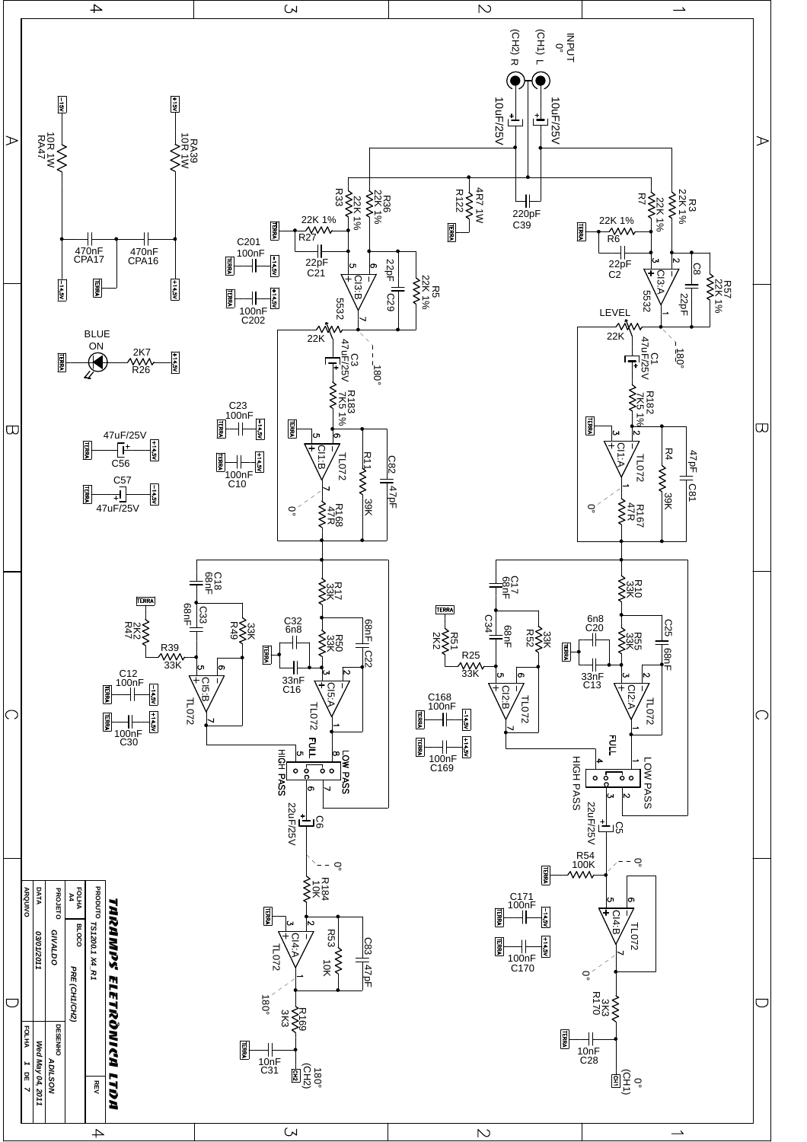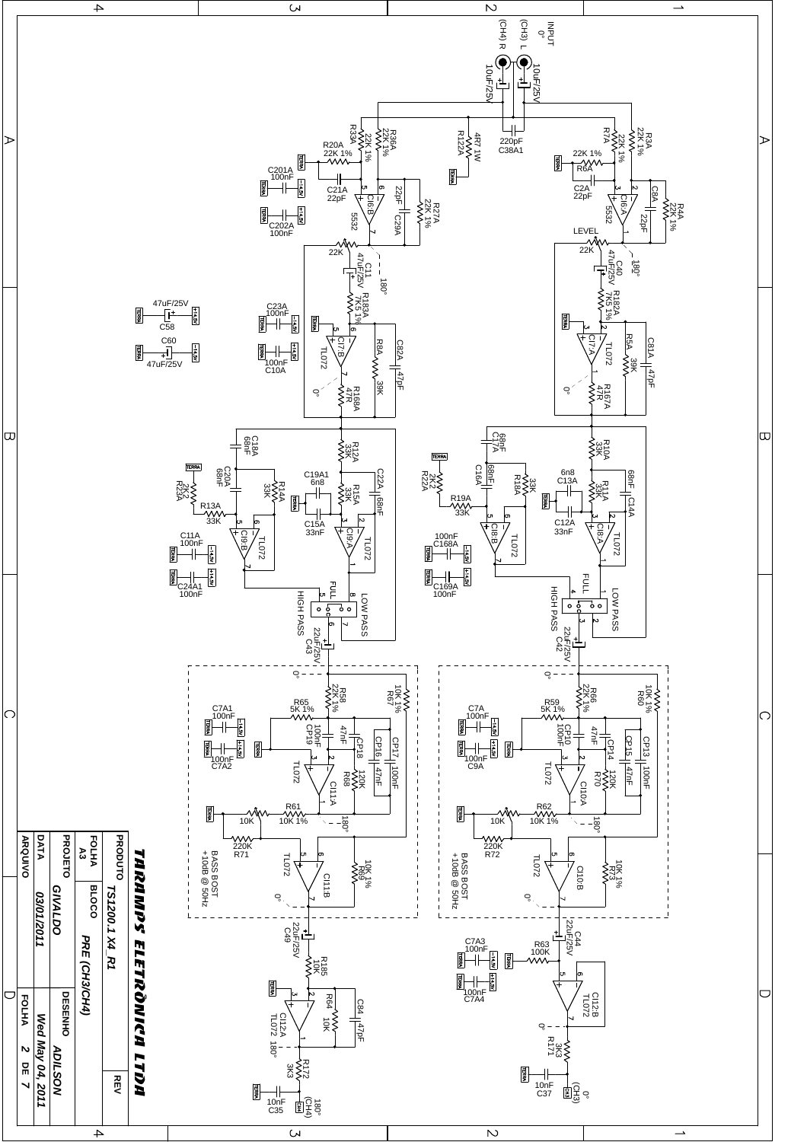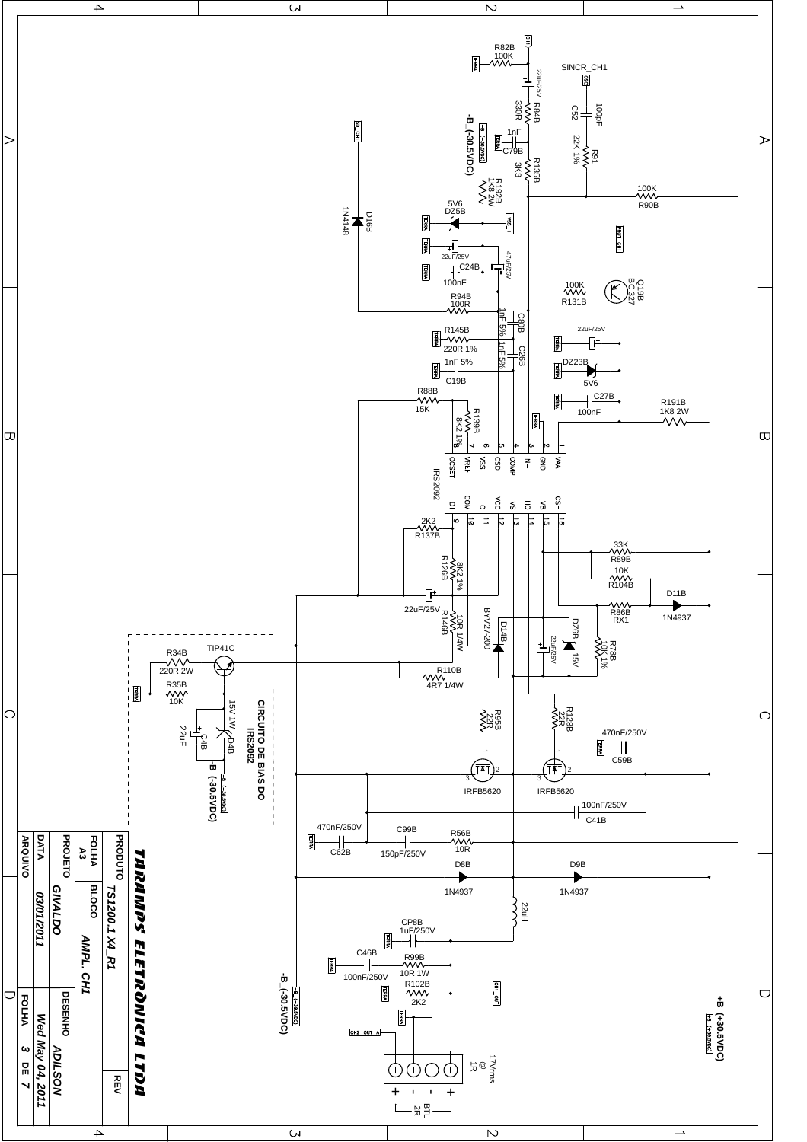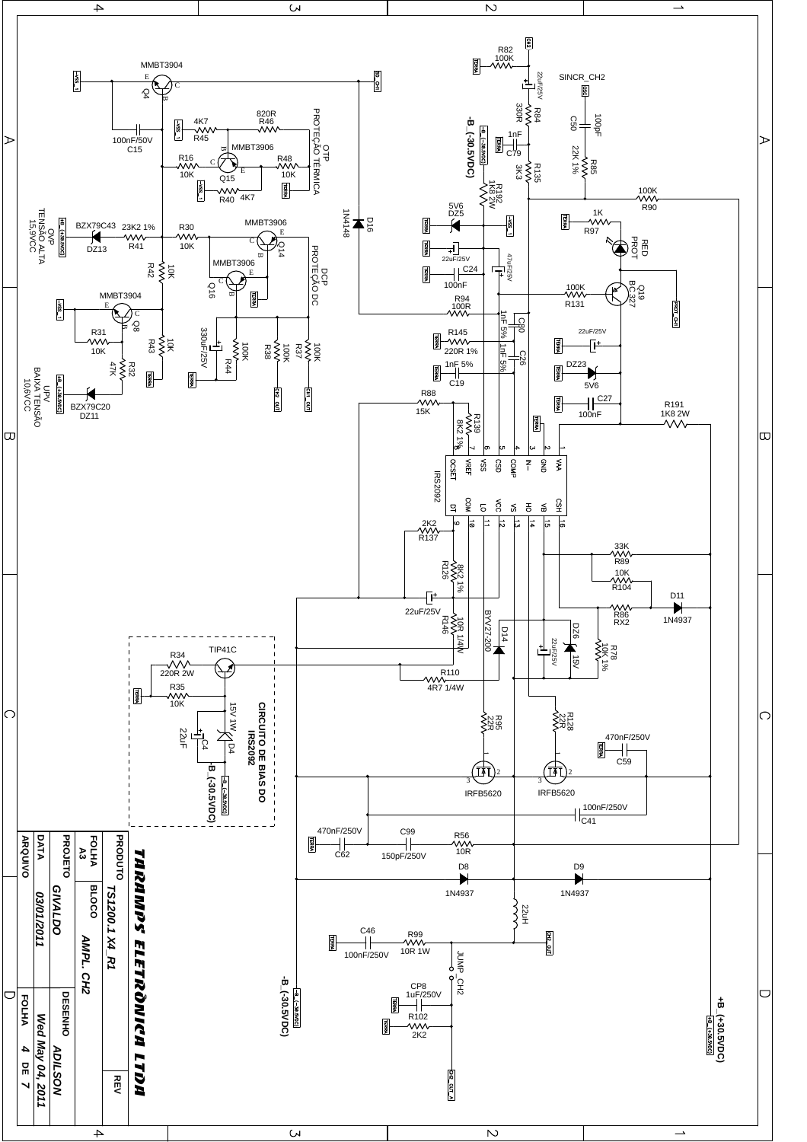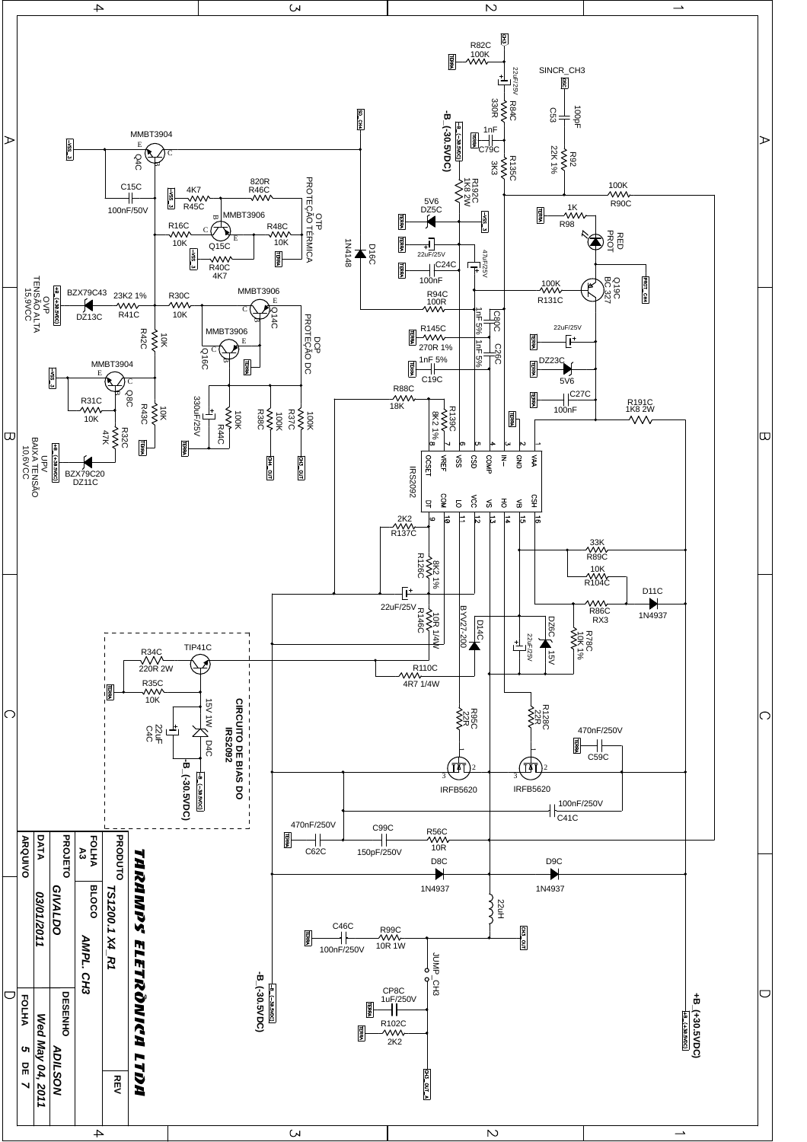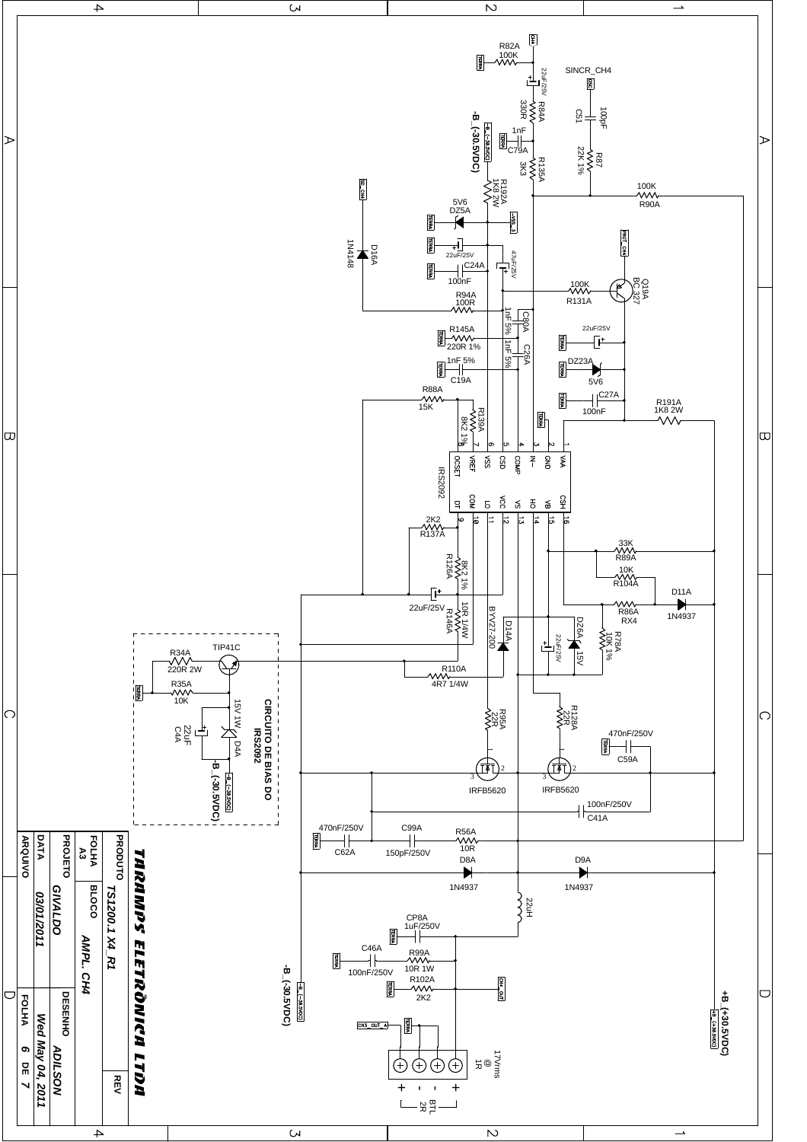